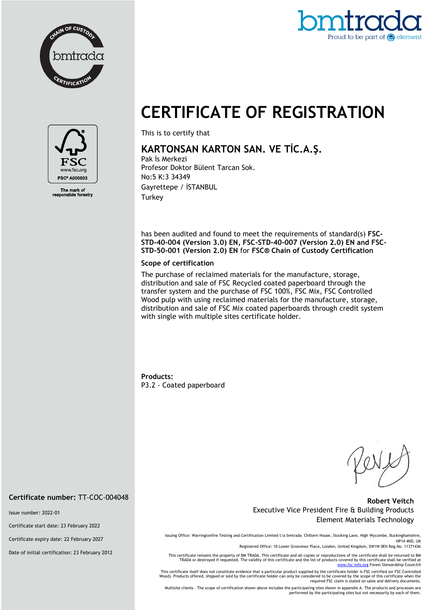



# **CERTIFICATE OF REGISTRATION**



The mark of<br>ponsible fore

This is to certify that

# **KARTONSAN KARTON SAN. VE TİC.A.Ş.**

Pak İs Merkezi Profesor Doktor Bülent Tarcan Sok. No:5 K:3 34349 Gayrettepe / İSTANBUL **Turkey** 

has been audited and found to meet the requirements of standard(s) **FSC-STD-40-004 (Version 3.0) EN, FSC-STD-40-007 (Version 2.0) EN and FSC-STD-50-001 (Version 2.0) EN** for **FSC® Chain of Custody Certification**

#### **Scope of certification**

The purchase of reclaimed materials for the manufacture, storage, distribution and sale of FSC Recycled coated paperboard through the transfer system and the purchase of FSC 100%, FSC Mix, FSC Controlled Wood pulp with using reclaimed materials for the manufacture, storage, distribution and sale of FSC Mix coated paperboards through credit system with single with multiple sites certificate holder.

**Products:** P3.2 - Coated paperboard

### **Robert Veitch** Executive Vice President Fire & Building Products Element Materials Technology

Issuing Office: Warringtonfire Testing and Certification Limited t/a bmtrada Chiltern House, Stocking Lane, High Wycombe, Buckinghamshire, HP14 4ND, UK

Registered Office: 10 Lower Grosvenor Place, London, United Kingdom, SW1W 0EN Reg.No. 11371436

This certificate remains the property of BM TRADA. This certificate and all copies or reproductions of the certificate shall be returned to BM TRADA or destroyed if requested. The validity of this certificate and the list of products covered by this certificate shall be verified at [www.fsc-info.org](http://www.fsc-info.org/) Forest Stewardship Council®

This certificate itself does not constitute evidence that a particular product supplied by the certificate holder is FSC certified (or FSC Controlled Wood). Products offered, shipped or sold by the certificate holder can only be considered to be covered by the scope of this certificate when the required FSC claim is stated on sales and delivery documents.

Multisite clients – The scope of certification shown above includes the participating sites shown in appendix A. The products and processes are performed by the participating sites but not necessarily by each of them.

**Certificate number:** TT-COC-004048

Issue number: 2022-01

Certificate start date: 23 February 2022

Certificate expiry date: 22 February 2027

Date of initial certification: 23 February 2012